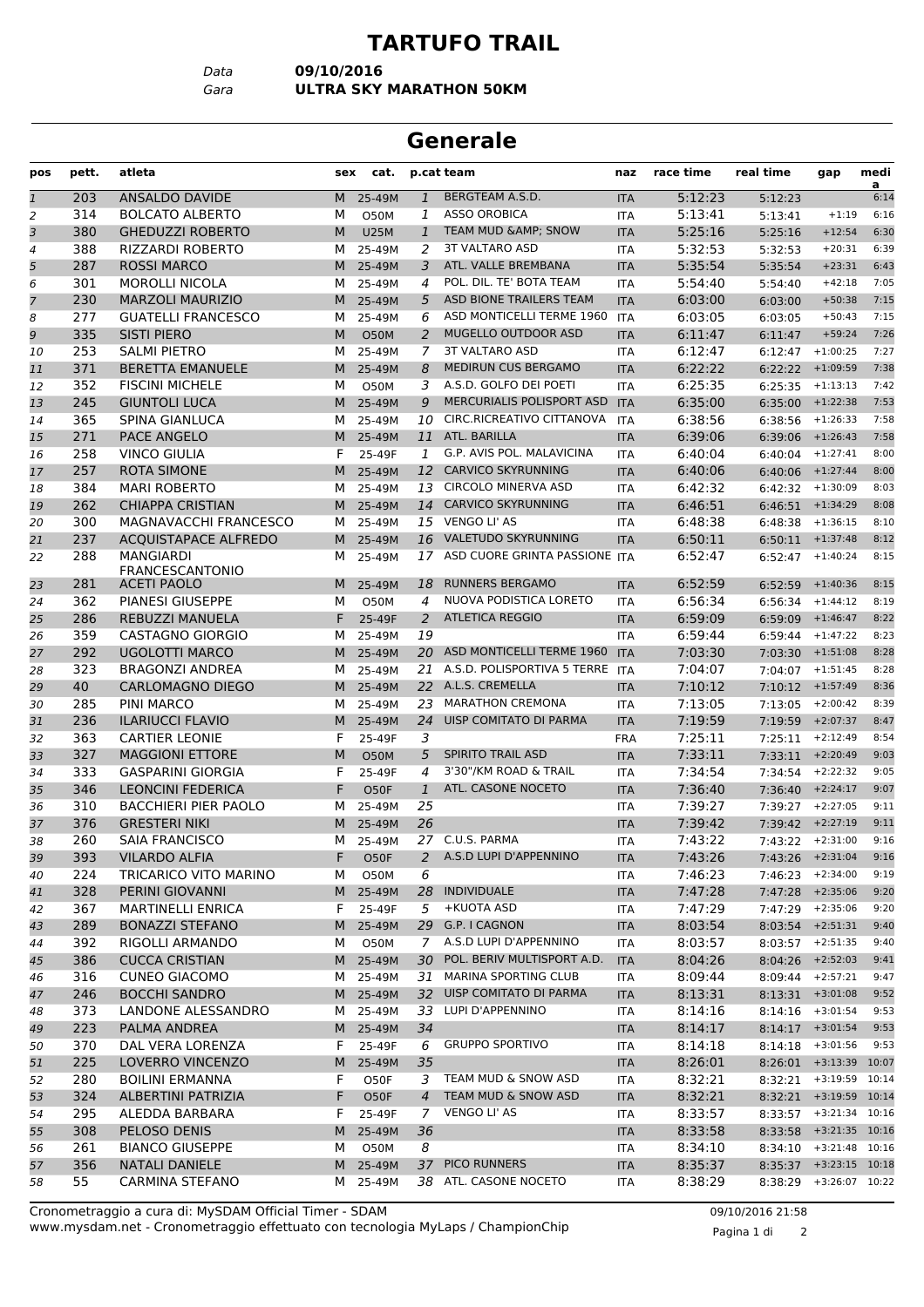## **TARTUFO TRAIL**

*Data* **09/10/2016**

*Gara* **ULTRA SKY MARATHON 50KM**

## **Generale**

| pos            | pett. | atleta                              | sex | cat.        |                | p.cat team                       | naz        | race time | real time          | gap                       | medi      |
|----------------|-------|-------------------------------------|-----|-------------|----------------|----------------------------------|------------|-----------|--------------------|---------------------------|-----------|
| $\mathbf{1}$   | 203   | ANSALDO DAVIDE                      | M   | 25-49M      | $\mathbf{1}$   | BERGTEAM A.S.D.                  | <b>ITA</b> | 5:12:23   | 5:12:23            |                           | a<br>6:14 |
| 2              | 314   | <b>BOLCATO ALBERTO</b>              | м   | O50M        | 1              | <b>ASSO OROBICA</b>              | <b>ITA</b> | 5:13:41   | 5:13:41            | $+1:19$                   | 6:16      |
| 3              | 380   | <b>GHEDUZZI ROBERTO</b>             | M   | <b>U25M</b> | $\mathbf{1}$   | TEAM MUD & AMP; SNOW             | <b>ITA</b> | 5:25:16   | 5:25:16            | $+12:54$                  | 6:30      |
| 4              | 388   | <b>RIZZARDI ROBERTO</b>             | м   | 25-49M      | 2              | <b>3T VALTARO ASD</b>            | ITA        | 5:32:53   | 5:32:53            | $+20:31$                  | 6:39      |
| 5              | 287   | <b>ROSSI MARCO</b>                  | M   | 25-49M      | 3              | ATL. VALLE BREMBANA              | <b>ITA</b> | 5:35:54   | 5:35:54            | $+23:31$                  | 6:43      |
| 6              | 301   | <b>MOROLLI NICOLA</b>               | м   | 25-49M      | 4              | POL. DIL. TE' BOTA TEAM          | <b>ITA</b> | 5:54:40   | 5:54:40            | $+42:18$                  | 7:05      |
| $\overline{7}$ | 230   | <b>MARZOLI MAURIZIO</b>             | M   | 25-49M      | 5              | ASD BIONE TRAILERS TEAM          | <b>ITA</b> | 6:03:00   | 6:03:00            | $+50:38$                  | 7:15      |
| 8              | 277   | <b>GUATELLI FRANCESCO</b>           | м   | 25-49M      | 6              | ASD MONTICELLI TERME 1960        | <b>ITA</b> | 6:03:05   | 6:03:05            | $+50:43$                  | 7:15      |
| 9              | 335   | <b>SISTI PIERO</b>                  | M   | <b>O50M</b> | 2              | <b>MUGELLO OUTDOOR ASD</b>       | <b>ITA</b> | 6:11:47   | 6:11:47            | $+59:24$                  | 7:26      |
| 10             | 253   | <b>SALMI PIETRO</b>                 | м   | 25-49M      | 7              | <b>3T VALTARO ASD</b>            | ITA        | 6:12:47   | 6:12:47            | $+1:00:25$                | 7:27      |
| 11             | 371   | <b>BERETTA EMANUELE</b>             | M   | 25-49M      | 8              | MEDIRUN CUS BERGAMO              | <b>ITA</b> | 6:22:22   | 6:22:22            | $+1:09:59$                | 7:38      |
| 12             | 352   | <b>FISCINI MICHELE</b>              | м   | O50M        | 3              | A.S.D. GOLFO DEI POETI           | <b>ITA</b> | 6:25:35   | 6:25:35            | $+1:13:13$                | 7:42      |
| 13             | 245   | <b>GIUNTOLI LUCA</b>                | M   | 25-49M      | 9              | MERCURIALIS POLISPORT ASD        | <b>ITA</b> | 6:35:00   | 6:35:00            | $+1:22:38$                | 7:53      |
| 14             | 365   | SPINA GIANLUCA                      | м   | 25-49M      | 10             | CIRC.RICREATIVO CITTANOVA        | <b>ITA</b> | 6:38:56   | 6:38:56            | $+1:26:33$                | 7:58      |
| 15             | 271   | <b>PACE ANGELO</b>                  | M   | 25-49M      |                | 11 ATL. BARILLA                  | <b>ITA</b> | 6:39:06   | 6:39:06            | $+1:26:43$                | 7:58      |
| 16             | 258   | <b>VINCO GIULIA</b>                 | F   | 25-49F      | 1              | G.P. AVIS POL. MALAVICINA        | ITA        | 6:40:04   | 6:40:04            | $+1:27:41$                | 8:00      |
| 17             | 257   | <b>ROTA SIMONE</b>                  | M   | 25-49M      |                | 12 CARVICO SKYRUNNING            | <b>ITA</b> | 6:40:06   | 6:40:06            | $+1:27:44$                | 8:00      |
| 18             | 384   | <b>MARI ROBERTO</b>                 | м   | 25-49M      | 13             | <b>CIRCOLO MINERVA ASD</b>       | <b>ITA</b> | 6:42:32   | 6:42:32            | $+1:30:09$                | 8:03      |
| 19             | 262   | <b>CHIAPPA CRISTIAN</b>             | M   | 25-49M      |                | 14 CARVICO SKYRUNNING            | <b>ITA</b> | 6:46:51   | 6:46:51            | $+1:34:29$                | 8:08      |
| 20             | 300   | MAGNAVACCHI FRANCESCO               | м   | 25-49M      |                | 15 VENGO LI' AS                  | <b>ITA</b> | 6:48:38   | 6:48:38            | $+1:36:15$                | 8:10      |
| 21             | 237   | <b>ACQUISTAPACE ALFREDO</b>         | M   | 25-49M      | 16             | VALETUDO SKYRUNNING              | <b>ITA</b> | 6:50:11   | 6:50:11            | $+1:37:48$                | 8:12      |
| 22             | 288   | <b>MANGIARDI</b><br>FRANCESCANTONIO | м   | 25-49M      |                | 17 ASD CUORE GRINTA PASSIONE ITA |            | 6:52:47   |                    | $6:52:47$ +1:40:24        | 8:15      |
| 23             | 281   | <b>ACETI PAOLO</b>                  | M   | 25-49M      | 18             | <b>RUNNERS BERGAMO</b>           | <b>ITA</b> | 6:52:59   | 6:52:59            | $+1:40:36$                | 8:15      |
| 24             | 362   | <b>PIANESI GIUSEPPE</b>             | м   | O50M        | 4              | NUOVA PODISTICA LORETO           | <b>ITA</b> | 6:56:34   | 6:56:34            | $+1:44:12$                | 8:19      |
| 25             | 286   | REBUZZI MANUELA                     | F.  | 25-49F      | $\overline{a}$ | <b>ATLETICA REGGIO</b>           | <b>ITA</b> | 6:59:09   | 6:59:09            | $+1:46:47$                | 8:22      |
| 26             | 359   | <b>CASTAGNO GIORGIO</b>             | м   | 25-49M      | 19             |                                  | <b>ITA</b> | 6:59:44   | 6:59:44            | $+1:47:22$                | 8:23      |
| 27             | 292   | <b>UGOLOTTI MARCO</b>               | M   | 25-49M      | 20             | ASD MONTICELLI TERME 1960        | <b>ITA</b> | 7:03:30   | 7:03:30            | $+1:51:08$                | 8:28      |
| 28             | 323   | <b>BRAGONZI ANDREA</b>              | м   | 25-49M      |                | 21 A.S.D. POLISPORTIVA 5 TERRE   | <b>ITA</b> | 7:04:07   | 7:04:07            | $+1:51:45$                | 8:28      |
| 29             | 40    | <b>CARLOMAGNO DIEGO</b>             | M   | 25-49M      |                | 22 A.L.S. CREMELLA               | <b>ITA</b> | 7:10:12   | 7:10:12            | $+1:57:49$                | 8:36      |
| 30             | 285   | <b>PINI MARCO</b>                   | м   | 25-49M      | 23             | <b>MARATHON CREMONA</b>          | <b>ITA</b> | 7:13:05   | 7:13:05            | $+2:00:42$                | 8:39      |
| 31             | 236   | <b>ILARIUCCI FLAVIO</b>             | M   | 25-49M      | 24             | UISP COMITATO DI PARMA           | <b>ITA</b> | 7:19:59   | 7:19:59            | $+2:07:37$                | 8:47      |
| 32             | 363   | <b>CARTIER LEONIE</b>               | F   | 25-49F      | 3              |                                  | <b>FRA</b> | 7:25:11   | 7:25:11            | $+2:12:49$                | 8:54      |
| 33             | 327   | <b>MAGGIONI ETTORE</b>              | M   | <b>O50M</b> | 5              | <b>SPIRITO TRAIL ASD</b>         | <b>ITA</b> | 7:33:11   | 7:33:11            | $+2:20:49$                | 9:03      |
| 34             | 333   | <b>GASPARINI GIORGIA</b>            | F   | 25-49F      | 4              | 3'30"/KM ROAD & TRAIL            | <b>ITA</b> | 7:34:54   | 7:34:54            | $+2:22:32$                | 9:05      |
| 35             | 346   | <b>LEONCINI FEDERICA</b>            | F   | O50F        | $\mathbf{1}$   | ATL. CASONE NOCETO               | <b>ITA</b> | 7:36:40   | 7:36:40            | $+2:24:17$                | 9:07      |
| 36             | 310   | <b>BACCHIERI PIER PAOLO</b>         | м   | 25-49M      | 25             |                                  | ITA        | 7:39:27   | 7:39:27            | $+2:27:05$                | 9:11      |
| 37             | 376   | <b>GRESTERI NIKI</b>                | M   | 25-49M      | 26             |                                  | <b>ITA</b> | 7:39:42   |                    | $7:39:42$ +2:27:19        | 9:11      |
| 38             | 260   | <b>SAIA FRANCISCO</b>               | м   | 25-49M      |                | 27 C.U.S. PARMA                  | <b>ITA</b> | 7:43:22   |                    | $7:43:22 +2:31:00$        | 9:16      |
| 39             | 393   | <b>VILARDO ALFIA</b>                | F   | O50F        | 2              | A.S.D LUPI D'APPENNINO           | <b>ITA</b> | 7:43:26   | 7:43:26 +2:31:04   |                           | 9:16      |
| 40             | 224   | TRICARICO VITO MARINO               | м   | O50M        | 6              |                                  | ITA        | 7:46:23   |                    | 7:46:23 +2:34:00          | 9:19      |
| 41             | 328   | PERINI GIOVANNI                     | M   | 25-49M      | 28             | <b>INDIVIDUALE</b>               | <b>ITA</b> | 7:47:28   |                    | $7:47:28$ +2:35:06        | 9:20      |
| 42             | 367   | <b>MARTINELLI ENRICA</b>            | F.  | 25-49F      | 5              | +KUOTA ASD                       | ITA        | 7:47:29   |                    | 7:47:29 +2:35:06          | 9:20      |
| 43             | 289   | <b>BONAZZI STEFANO</b>              | M   | 25-49M      |                | 29 G.P. I CAGNON                 | <b>ITA</b> | 8:03:54   | $8:03:54$ +2:51:31 |                           | 9:40      |
| 44             | 392   | RIGOLLI ARMANDO                     | м   | O50M        |                | 7 A.S.D LUPI D'APPENNINO         | ITA        | 8:03:57   | $8:03:57$ +2:51:35 |                           | 9:40      |
| 45             | 386   | <b>CUCCA CRISTIAN</b>               | M   | 25-49M      |                | 30 POL. BERIV MULTISPORT A.D.    | <b>ITA</b> | 8:04:26   | 8:04:26            | $+2:52:03$                | 9:41      |
| 46             | 316   | <b>CUNEO GIACOMO</b>                | M   | 25-49M      |                | 31 MARINA SPORTING CLUB          | <b>ITA</b> | 8:09:44   | 8:09:44            | $+2:57:21$                | 9:47      |
| 47             | 246   | <b>BOCCHI SANDRO</b>                | M   | 25-49M      |                | 32 UISP COMITATO DI PARMA        | <b>ITA</b> | 8:13:31   |                    | $8:13:31$ +3:01:08        | 9:52      |
| 48             | 373   | LANDONE ALESSANDRO                  | M   | 25-49M      |                | 33 LUPI D'APPENNINO              | ITA        | 8:14:16   |                    | $8:14:16$ +3:01:54        | 9:53      |
| 49             | 223   | PALMA ANDREA                        |     | M 25-49M    | 34             |                                  | <b>ITA</b> | 8:14:17   |                    | $8:14:17$ +3:01:54        | 9:53      |
| 50             | 370   | DAL VERA LORENZA                    | F.  | 25-49F      | 6              | <b>GRUPPO SPORTIVO</b>           | <b>ITA</b> | 8:14:18   | 8:14:18            | $+3:01:56$                | 9:53      |
| 51             | 225   | LOVERRO VINCENZO                    | M   | 25-49M      | 35             |                                  | <b>ITA</b> | 8:26:01   | 8:26:01            | $+3:13:39$ 10:07          |           |
| 52             | 280   | <b>BOILINI ERMANNA</b>              | F   | O50F        | 3              | TEAM MUD & SNOW ASD              | ITA        | 8:32:21   |                    | 8:32:21 +3:19:59 10:14    |           |
| 53             | 324   | <b>ALBERTINI PATRIZIA</b>           | F.  | O50F        | $\overline{4}$ | TEAM MUD & SNOW ASD              | <b>ITA</b> | 8:32:21   | 8:32:21            | $+3:19:59$ 10:14          |           |
| 54             | 295   | ALEDDA BARBARA                      | F.  | 25-49F      |                | 7 VENGO LI' AS                   | ITA        | 8:33:57   |                    | $8:33:57$ +3:21:34 10:16  |           |
| 55             | 308   | PELOSO DENIS                        | M   | 25-49M      | 36             |                                  | <b>ITA</b> | 8:33:58   |                    | $8:33:58$ +3:21:35 10:16  |           |
| 56             | 261   | <b>BIANCO GIUSEPPE</b>              | м   | O50M        | 8              |                                  | ITA        | 8:34:10   |                    | $8:34:10 + 3:21:48$ 10:16 |           |
| 57             | 356   | <b>NATALI DANIELE</b>               | M   | 25-49M      |                | 37 PICO RUNNERS                  | <b>ITA</b> | 8:35:37   | 8:35:37            | $+3:23:15$ 10:18          |           |
| 58             | 55    | <b>CARMINA STEFANO</b>              | M   | 25-49M      |                | 38 ATL. CASONE NOCETO            | ITA        | 8:38:29   |                    | 8:38:29 +3:26:07 10:22    |           |

www.mysdam.net - Cronometraggio effettuato con tecnologia MyLaps / ChampionChip Cronometraggio a cura di: MySDAM Official Timer - SDAM 09/10/2016 21:58

Pagina 1 di 2